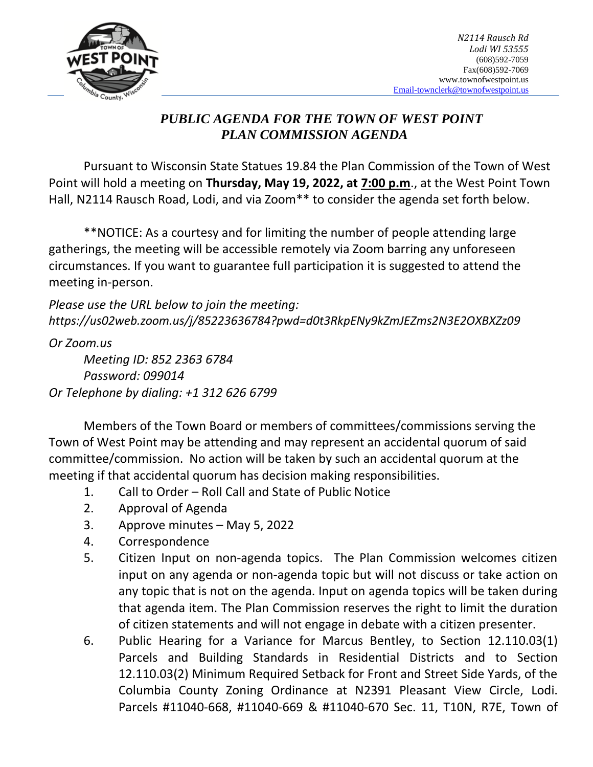

## *PUBLIC AGENDA FOR THE TOWN OF WEST POINT PLAN COMMISSION AGENDA*

Pursuant to Wisconsin State Statues 19.84 the Plan Commission of the Town of West Point will hold a meeting on **Thursday, May 19, 2022, at 7:00 p.m**., at the West Point Town Hall, N2114 Rausch Road, Lodi, and via Zoom<sup>\*\*</sup> to consider the agenda set forth below.

\*\*NOTICE: As a courtesy and for limiting the number of people attending large gatherings, the meeting will be accessible remotely via Zoom barring any unforeseen circumstances. If you want to guarantee full participation it is suggested to attend the meeting in-person.

*Please use the URL below to join the meeting: https://us02web.zoom.us/j/85223636784?pwd=d0t3RkpENy9kZmJEZms2N3E2OXBXZz09*

*Or Zoom.us Meeting ID: 852 2363 6784 Password: 099014 Or Telephone by dialing: +1 312 626 6799* 

Members of the Town Board or members of committees/commissions serving the Town of West Point may be attending and may represent an accidental quorum of said committee/commission. No action will be taken by such an accidental quorum at the meeting if that accidental quorum has decision making responsibilities.

- 1. Call to Order Roll Call and State of Public Notice
- 2. Approval of Agenda
- 3. Approve minutes May 5, 2022
- 4. Correspondence
- 5. Citizen Input on non-agenda topics. The Plan Commission welcomes citizen input on any agenda or non-agenda topic but will not discuss or take action on any topic that is not on the agenda. Input on agenda topics will be taken during that agenda item. The Plan Commission reserves the right to limit the duration of citizen statements and will not engage in debate with a citizen presenter.
- 6. Public Hearing for a Variance for Marcus Bentley, to Section 12.110.03(1) Parcels and Building Standards in Residential Districts and to Section 12.110.03(2) Minimum Required Setback for Front and Street Side Yards, of the Columbia County Zoning Ordinance at N2391 Pleasant View Circle, Lodi. Parcels #11040-668, #11040-669 & #11040-670 Sec. 11, T10N, R7E, Town of